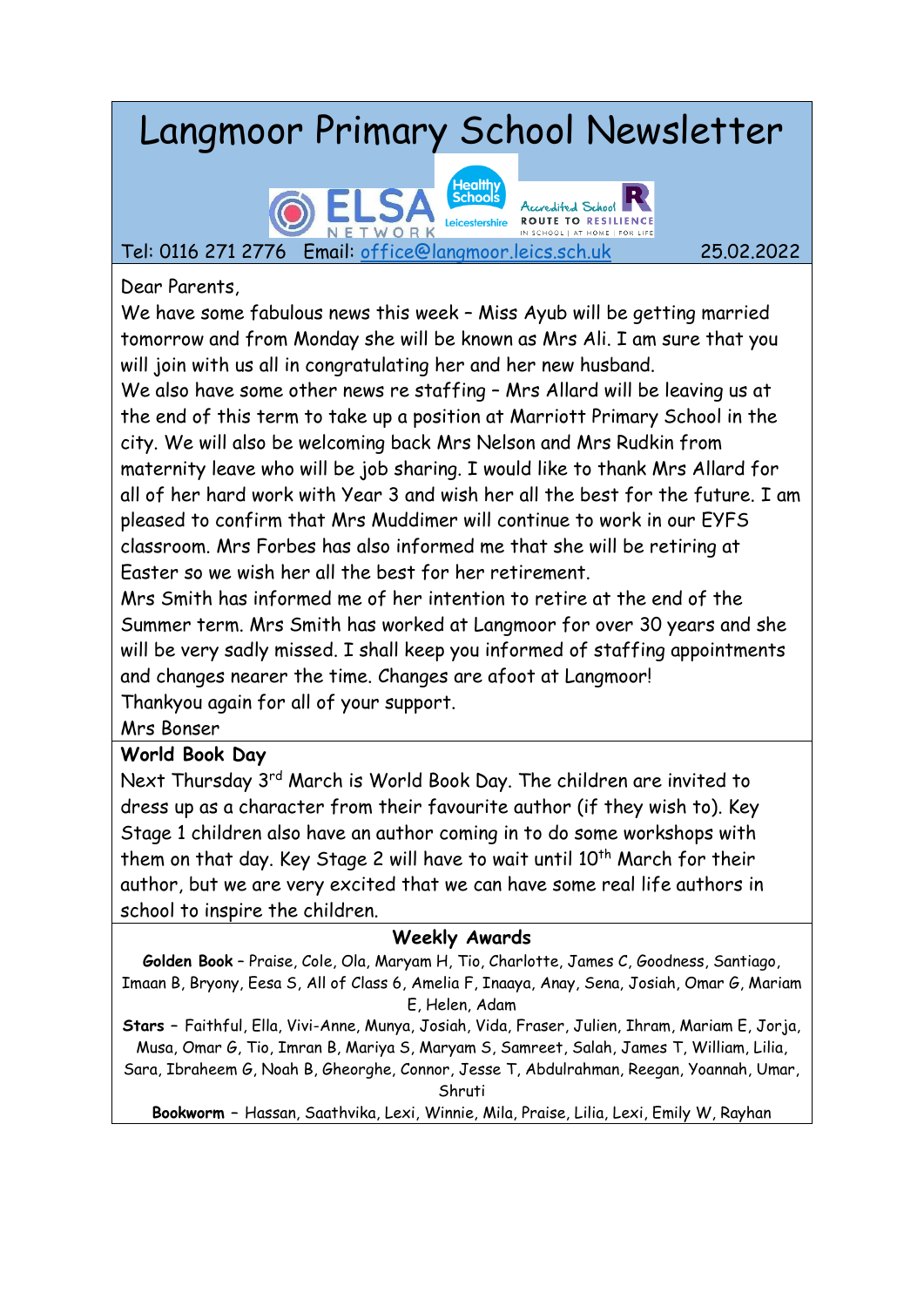# Langmoor Primary School Newsletter



Tel: 0116 271 2776 Email: [office@langmoor.leics.sch.uk](mailto:office@langmoor.leics.sch.uk) 25.02.2022

Dear Parents,

We have some fabulous news this week – Miss Ayub will be getting married tomorrow and from Monday she will be known as Mrs Ali. I am sure that you will join with us all in congratulating her and her new husband.

We also have some other news re staffing – Mrs Allard will be leaving us at the end of this term to take up a position at Marriott Primary School in the city. We will also be welcoming back Mrs Nelson and Mrs Rudkin from maternity leave who will be job sharing. I would like to thank Mrs Allard for all of her hard work with Year 3 and wish her all the best for the future. I am pleased to confirm that Mrs Muddimer will continue to work in our EYFS classroom. Mrs Forbes has also informed me that she will be retiring at Easter so we wish her all the best for her retirement.

Mrs Smith has informed me of her intention to retire at the end of the Summer term. Mrs Smith has worked at Langmoor for over 30 years and she will be very sadly missed. I shall keep you informed of staffing appointments and changes nearer the time. Changes are afoot at Langmoor!

Thankyou again for all of your support.

Mrs Bonser

### **World Book Day**

Next Thursday 3<sup>rd</sup> March is World Book Day. The children are invited to dress up as a character from their favourite author (if they wish to). Key Stage 1 children also have an author coming in to do some workshops with them on that day. Key Stage 2 will have to wait until 10<sup>th</sup> March for their author, but we are very excited that we can have some real life authors in school to inspire the children.

### **Weekly Awards**

**Golden Book** – Praise, Cole, Ola, Maryam H, Tio, Charlotte, James C, Goodness, Santiago, Imaan B, Bryony, Eesa S, All of Class 6, Amelia F, Inaaya, Anay, Sena, Josiah, Omar G, Mariam E, Helen, Adam

**Stars –** Faithful, Ella, Vivi-Anne, Munya, Josiah, Vida, Fraser, Julien, Ihram, Mariam E, Jorja, Musa, Omar G, Tio, Imran B, Mariya S, Maryam S, Samreet, Salah, James T, William, Lilia, Sara, Ibraheem G, Noah B, Gheorghe, Connor, Jesse T, Abdulrahman, Reegan, Yoannah, Umar,

Shruti

**Bookworm –** Hassan, Saathvika, Lexi, Winnie, Mila, Praise, Lilia, Lexi, Emily W, Rayhan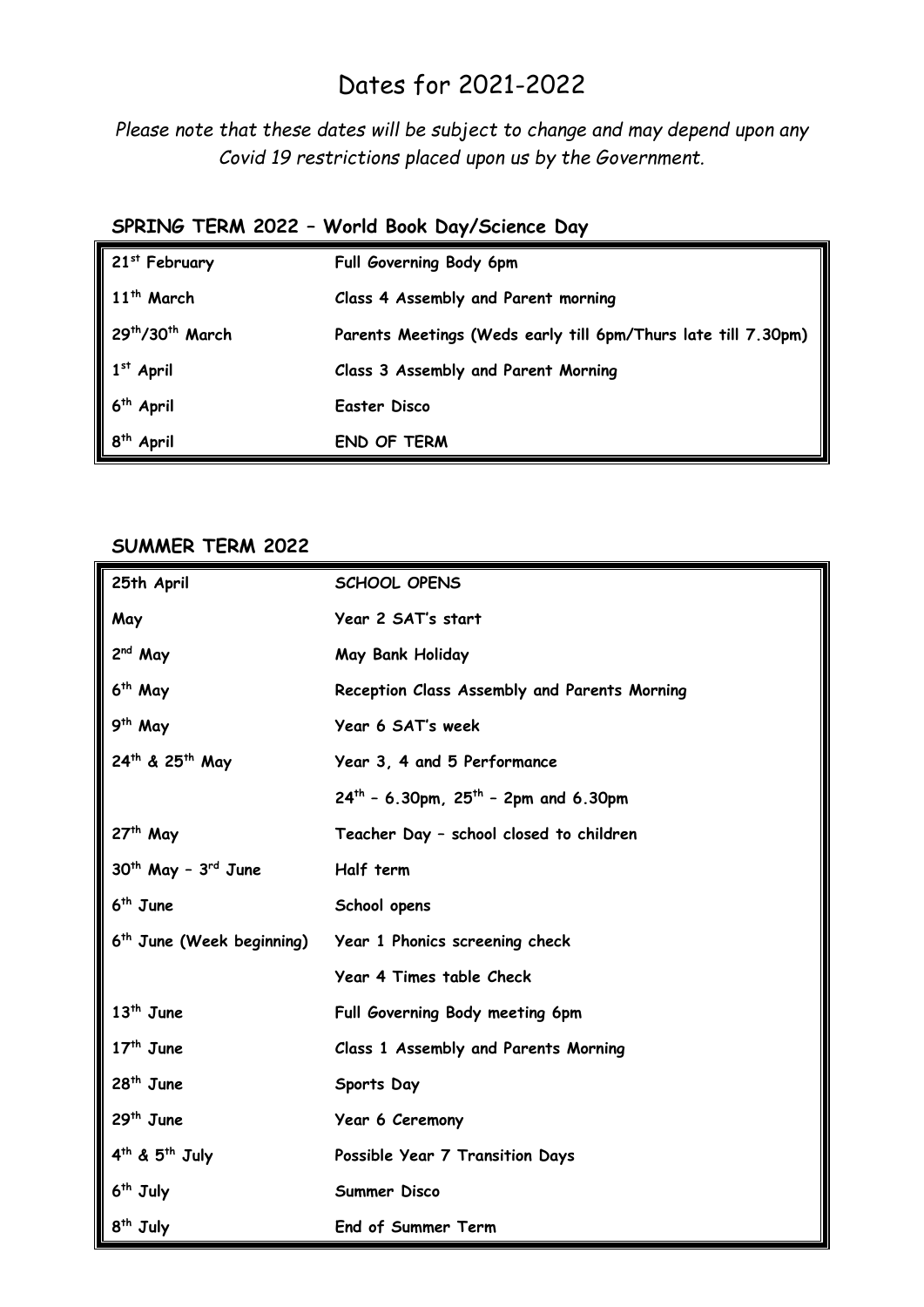## Dates for 2021-2022

*Please note that these dates will be subject to change and may depend upon any Covid 19 restrictions placed upon us by the Government.* 

### **SPRING TERM 2022 – World Book Day/Science Day**

| 21 <sup>st</sup> February                | Full Governing Body 6pm                                       |
|------------------------------------------|---------------------------------------------------------------|
| 11 <sup>th</sup> March                   | Class 4 Assembly and Parent morning                           |
| 29 <sup>th</sup> /30 <sup>th</sup> March | Parents Meetings (Weds early till 6pm/Thurs late till 7.30pm) |
| $1st$ April                              | Class 3 Assembly and Parent Morning                           |
| 6 <sup>th</sup> April                    | Easter Disco                                                  |
| 8 <sup>th</sup> April                    | <b>END OF TERM</b>                                            |

#### **SUMMER TERM 2022**

| 25th April                             | SCHOOL OPENS                                   |
|----------------------------------------|------------------------------------------------|
| May                                    | Year 2 SAT's start                             |
| 2 <sup>nd</sup> May                    | May Bank Holiday                               |
| 6 <sup>th</sup> May                    | Reception Class Assembly and Parents Morning   |
| 9 <sup>th</sup> May                    | Year 6 SAT's week                              |
| 24th & 25th May                        | Year 3, 4 and 5 Performance                    |
|                                        | $24^{th}$ - 6.30pm, $25^{th}$ - 2pm and 6.30pm |
| $27th$ May                             | Teacher Day - school closed to children        |
| $30th$ May - $3rd$ June                | Half term                                      |
| $6th$ June                             | School opens                                   |
| 6 <sup>th</sup> June (Week beginning)  | Year 1 Phonics screening check                 |
|                                        | Year 4 Times table Check                       |
| $13th$ June                            | Full Governing Body meeting 6pm                |
| $17th$ June                            | Class 1 Assembly and Parents Morning           |
| 28 <sup>th</sup> June                  | Sports Day                                     |
| $29th$ June                            | Year 6 Ceremony                                |
| 4 <sup>th</sup> & 5 <sup>th</sup> July | Possible Year 7 Transition Days                |
| $6th$ July                             | Summer Disco                                   |
| 8 <sup>th</sup> July                   | End of Summer Term                             |